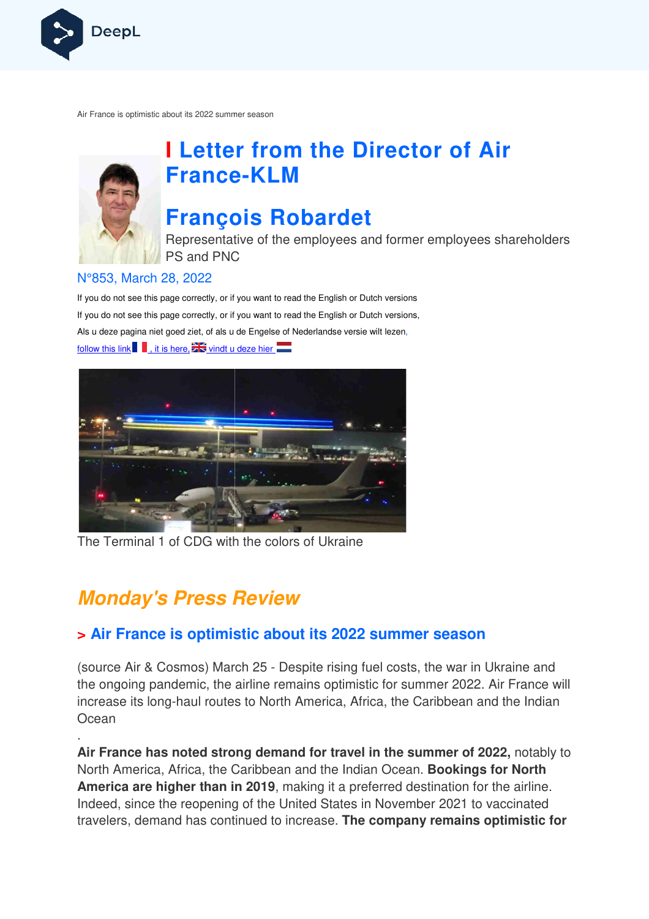

Air France is optimistic about its 2022 summer season



# **I Letter from the Director of Air France France-KLM**

# **François Robardet**

Representative of the employees and former employees shareholders PS and PNC

### N°853, March 28, 2022

If you do not see this page correctly, or if you want to read the English or Dutch versions If you do not see this page correctly, or if you want to read the English or Dutch versions, Als u deze pagina niet goed ziet, of als u de Engelse of Nederlandse v versie wilt lezen, follow this link  $\blacksquare$ , it is here,  $\blacksquare$  vindt u deze hier



The Terminal 1 of CDG with the colors of Ukraine

## **Monday's Press Review**

.

### **> Air France is optimistic about its 2022 summer season**

(source Air & Cosmos) March 25 - Despite rising fuel costs, the war in Ukraine and the ongoing pandemic, the airline remains optimistic for summer 2022. Air France will increase its long-haul routes to North America, Africa, the Caribbean and the Indian **Ocean** 

**Air France has noted strong demand for travel in the summer of 2022,**  notably to North America, Africa, the Caribbean and the Indian Ocean. **Bookings for North America are higher than in 2019**, making it a preferred destination for the airline. Indeed, since the reopening of the United States in November 2021 to vaccinated travelers, demand has continued to increase. **The company remains optimistic for**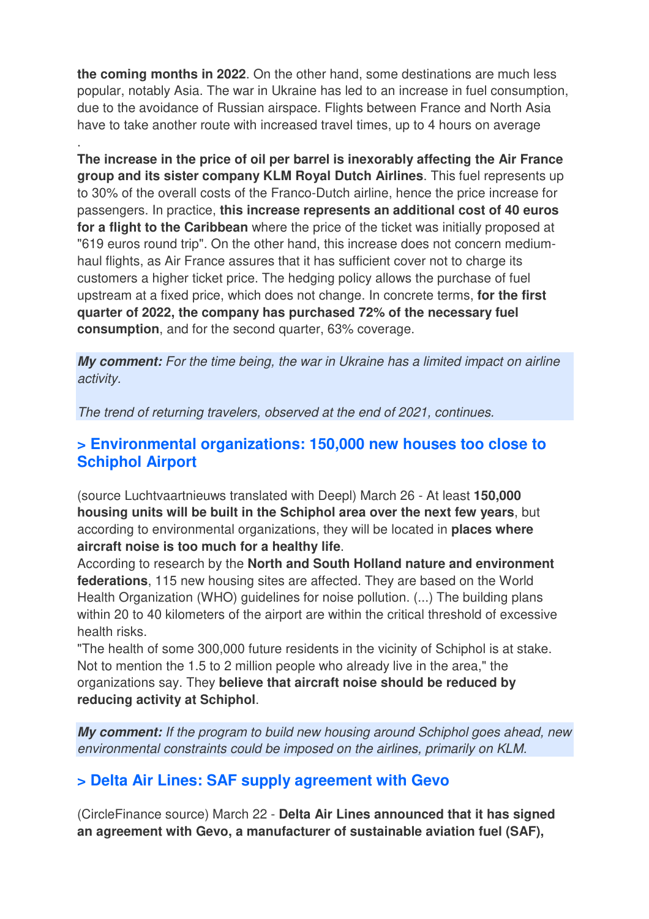**the coming months in 2022**. On the other hand, some destinations are much less popular, notably Asia. The war in Ukraine has led to an increase in fuel consumption, due to the avoidance of Russian airspace. Flights between France and North Asia have to take another route with increased travel times, up to 4 hours on average

.

**The increase in the price of oil per barrel is inexorably affecting the Air France group and its sister company KLM Royal Dutch Airlines**. This fuel represents up to 30% of the overall costs of the Franco-Dutch airline, hence the price increase for passengers. In practice, **this increase represents an additional cost of 40 euros for a flight to the Caribbean** where the price of the ticket was initially proposed at "619 euros round trip". On the other hand, this increase does not concern mediumhaul flights, as Air France assures that it has sufficient cover not to charge its customers a higher ticket price. The hedging policy allows the purchase of fuel upstream at a fixed price, which does not change. In concrete terms, **for the first quarter of 2022, the company has purchased 72% of the necessary fuel consumption**, and for the second quarter, 63% coverage.

**My comment:** For the time being, the war in Ukraine has a limited impact on airline activity.

The trend of returning travelers, observed at the end of 2021, continues.

### **> Environmental organizations: 150,000 new houses too close to Schiphol Airport**

(source Luchtvaartnieuws translated with Deepl) March 26 - At least **150,000 housing units will be built in the Schiphol area over the next few years**, but according to environmental organizations, they will be located in **places where aircraft noise is too much for a healthy life**.

According to research by the **North and South Holland nature and environment federations**, 115 new housing sites are affected. They are based on the World Health Organization (WHO) guidelines for noise pollution. (...) The building plans within 20 to 40 kilometers of the airport are within the critical threshold of excessive health risks.

"The health of some 300,000 future residents in the vicinity of Schiphol is at stake. Not to mention the 1.5 to 2 million people who already live in the area," the organizations say. They **believe that aircraft noise should be reduced by reducing activity at Schiphol**.

**My comment:** If the program to build new housing around Schiphol goes ahead, new environmental constraints could be imposed on the airlines, primarily on KLM.

### **> Delta Air Lines: SAF supply agreement with Gevo**

(CircleFinance source) March 22 - **Delta Air Lines announced that it has signed an agreement with Gevo, a manufacturer of sustainable aviation fuel (SAF),**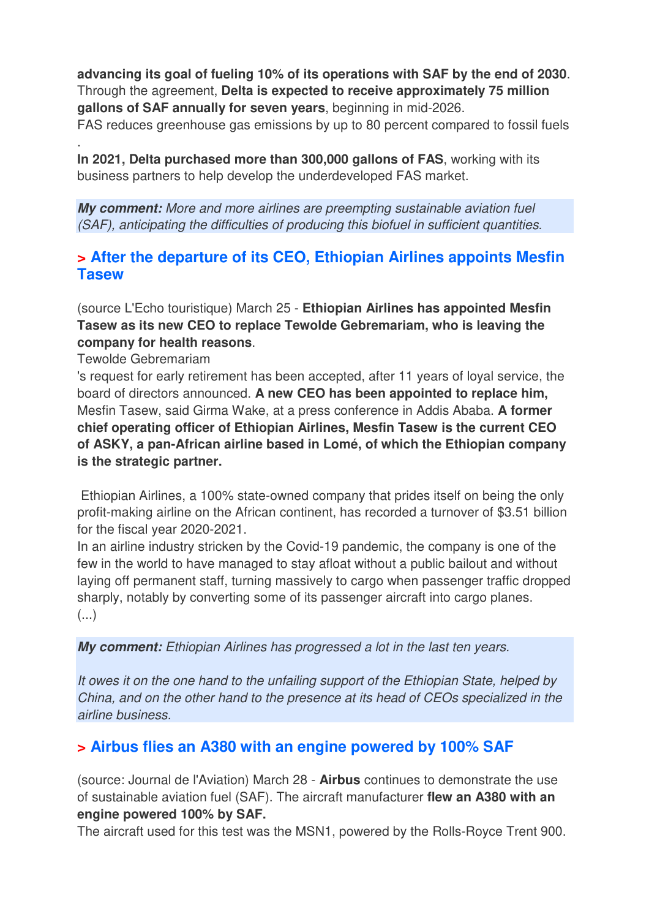**advancing its goal of fueling 10% of its operations with SAF by the end of 2030**. Through the agreement, **Delta is expected to receive approximately 75 million gallons of SAF annually for seven years**, beginning in mid-2026.

FAS reduces greenhouse gas emissions by up to 80 percent compared to fossil fuels

**In 2021, Delta purchased more than 300,000 gallons of FAS**, working with its business partners to help develop the underdeveloped FAS market.

**My comment:** More and more airlines are preempting sustainable aviation fuel (SAF), anticipating the difficulties of producing this biofuel in sufficient quantities.

### **> After the departure of its CEO, Ethiopian Airlines appoints Mesfin Tasew**

(source L'Echo touristique) March 25 - **Ethiopian Airlines has appointed Mesfin Tasew as its new CEO to replace Tewolde Gebremariam, who is leaving the company for health reasons**.

Tewolde Gebremariam

.

's request for early retirement has been accepted, after 11 years of loyal service, the board of directors announced. **A new CEO has been appointed to replace him,**  Mesfin Tasew, said Girma Wake, at a press conference in Addis Ababa. **A former chief operating officer of Ethiopian Airlines, Mesfin Tasew is the current CEO of ASKY, a pan-African airline based in Lomé, of which the Ethiopian company is the strategic partner.** 

 Ethiopian Airlines, a 100% state-owned company that prides itself on being the only profit-making airline on the African continent, has recorded a turnover of \$3.51 billion for the fiscal year 2020-2021.

In an airline industry stricken by the Covid-19 pandemic, the company is one of the few in the world to have managed to stay afloat without a public bailout and without laying off permanent staff, turning massively to cargo when passenger traffic dropped sharply, notably by converting some of its passenger aircraft into cargo planes. (...)

**My comment:** Ethiopian Airlines has progressed a lot in the last ten years.

It owes it on the one hand to the unfailing support of the Ethiopian State, helped by China, and on the other hand to the presence at its head of CEOs specialized in the airline business.

### **> Airbus flies an A380 with an engine powered by 100% SAF**

(source: Journal de l'Aviation) March 28 - **Airbus** continues to demonstrate the use of sustainable aviation fuel (SAF). The aircraft manufacturer **flew an A380 with an engine powered 100% by SAF.** 

The aircraft used for this test was the MSN1, powered by the Rolls-Royce Trent 900.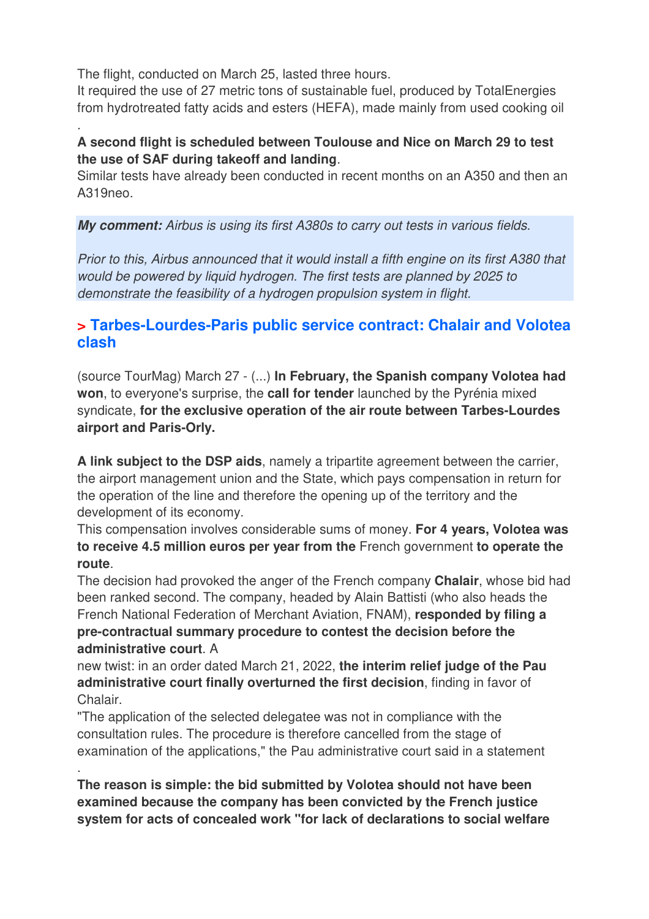The flight, conducted on March 25, lasted three hours.

.

.

It required the use of 27 metric tons of sustainable fuel, produced by TotalEnergies from hydrotreated fatty acids and esters (HEFA), made mainly from used cooking oil

### **A second flight is scheduled between Toulouse and Nice on March 29 to test the use of SAF during takeoff and landing**.

Similar tests have already been conducted in recent months on an A350 and then an A319neo.

**My comment:** Airbus is using its first A380s to carry out tests in various fields.

Prior to this, Airbus announced that it would install a fifth engine on its first A380 that would be powered by liquid hydrogen. The first tests are planned by 2025 to demonstrate the feasibility of a hydrogen propulsion system in flight.

## **> Tarbes-Lourdes-Paris public service contract: Chalair and Volotea clash**

(source TourMag) March 27 - (...) **In February, the Spanish company Volotea had won**, to everyone's surprise, the **call for tender** launched by the Pyrénia mixed syndicate, **for the exclusive operation of the air route between Tarbes-Lourdes airport and Paris-Orly.** 

**A link subject to the DSP aids**, namely a tripartite agreement between the carrier, the airport management union and the State, which pays compensation in return for the operation of the line and therefore the opening up of the territory and the development of its economy.

This compensation involves considerable sums of money. **For 4 years, Volotea was to receive 4.5 million euros per year from the** French government **to operate the route**.

The decision had provoked the anger of the French company **Chalair**, whose bid had been ranked second. The company, headed by Alain Battisti (who also heads the French National Federation of Merchant Aviation, FNAM), **responded by filing a pre-contractual summary procedure to contest the decision before the administrative court**. A

new twist: in an order dated March 21, 2022, **the interim relief judge of the Pau administrative court finally overturned the first decision**, finding in favor of Chalair.

"The application of the selected delegatee was not in compliance with the consultation rules. The procedure is therefore cancelled from the stage of examination of the applications," the Pau administrative court said in a statement

**The reason is simple: the bid submitted by Volotea should not have been examined because the company has been convicted by the French justice system for acts of concealed work "for lack of declarations to social welfare**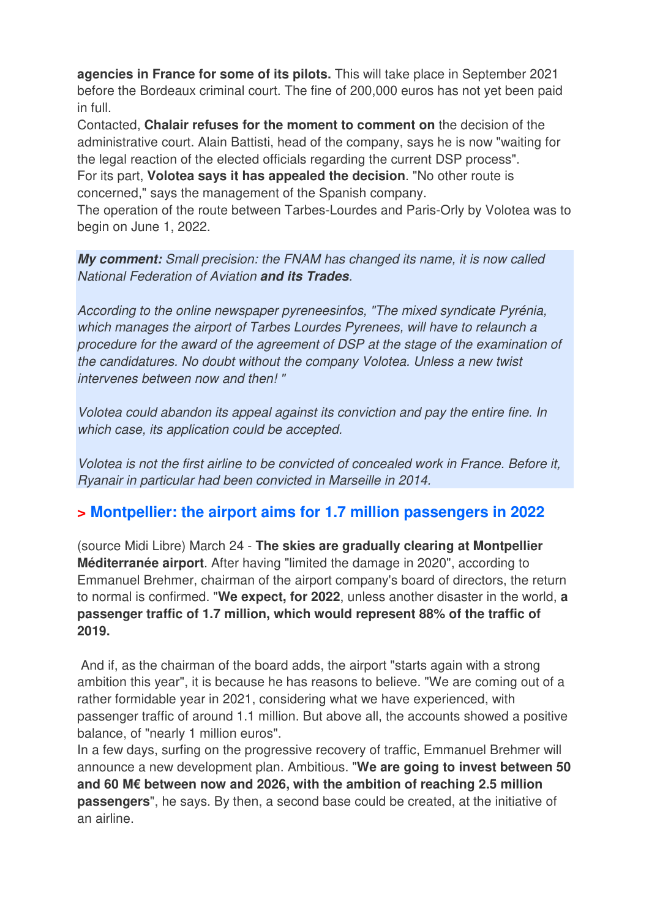**agencies in France for some of its pilots.** This will take place in September 2021 before the Bordeaux criminal court. The fine of 200,000 euros has not yet been paid in full.

Contacted, **Chalair refuses for the moment to comment on** the decision of the administrative court. Alain Battisti, head of the company, says he is now "waiting for the legal reaction of the elected officials regarding the current DSP process".

For its part, **Volotea says it has appealed the decision**. "No other route is concerned," says the management of the Spanish company.

The operation of the route between Tarbes-Lourdes and Paris-Orly by Volotea was to begin on June 1, 2022.

**My comment:** Small precision: the FNAM has changed its name, it is now called National Federation of Aviation **and its Trades**.

According to the online newspaper pyreneesinfos, "The mixed syndicate Pyrénia, which manages the airport of Tarbes Lourdes Pyrenees, will have to relaunch a procedure for the award of the agreement of DSP at the stage of the examination of the candidatures. No doubt without the company Volotea. Unless a new twist intervenes between now and then! "

Volotea could abandon its appeal against its conviction and pay the entire fine. In which case, its application could be accepted.

Volotea is not the first airline to be convicted of concealed work in France. Before it, Ryanair in particular had been convicted in Marseille in 2014.

## **> Montpellier: the airport aims for 1.7 million passengers in 2022**

(source Midi Libre) March 24 - **The skies are gradually clearing at Montpellier Méditerranée airport**. After having "limited the damage in 2020", according to Emmanuel Brehmer, chairman of the airport company's board of directors, the return to normal is confirmed. "**We expect, for 2022**, unless another disaster in the world, **a passenger traffic of 1.7 million, which would represent 88% of the traffic of 2019.** 

 And if, as the chairman of the board adds, the airport "starts again with a strong ambition this year", it is because he has reasons to believe. "We are coming out of a rather formidable year in 2021, considering what we have experienced, with passenger traffic of around 1.1 million. But above all, the accounts showed a positive balance, of "nearly 1 million euros".

In a few days, surfing on the progressive recovery of traffic, Emmanuel Brehmer will announce a new development plan. Ambitious. "**We are going to invest between 50 and 60 M€ between now and 2026, with the ambition of reaching 2.5 million passengers**", he says. By then, a second base could be created, at the initiative of an airline.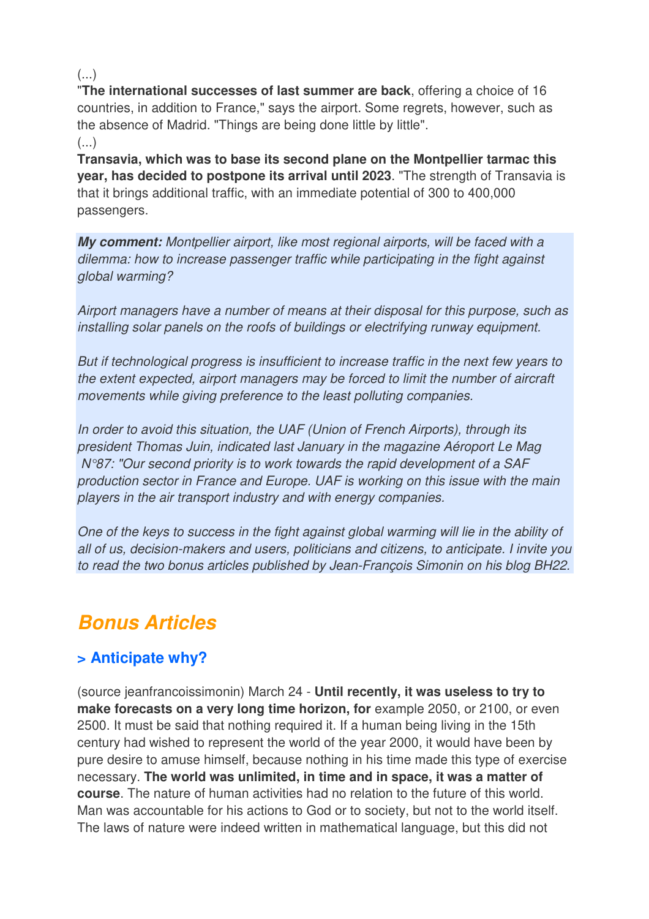(...)

"**The international successes of last summer are back**, offering a choice of 16 countries, in addition to France," says the airport. Some regrets, however, such as the absence of Madrid. "Things are being done little by little". (...)

**Transavia, which was to base its second plane on the Montpellier tarmac this year, has decided to postpone its arrival until 2023**. "The strength of Transavia is that it brings additional traffic, with an immediate potential of 300 to 400,000 passengers.

**My comment:** Montpellier airport, like most regional airports, will be faced with a dilemma: how to increase passenger traffic while participating in the fight against global warming?

Airport managers have a number of means at their disposal for this purpose, such as installing solar panels on the roofs of buildings or electrifying runway equipment.

But if technological progress is insufficient to increase traffic in the next few years to the extent expected, airport managers may be forced to limit the number of aircraft movements while giving preference to the least polluting companies.

In order to avoid this situation, the UAF (Union of French Airports), through its president Thomas Juin, indicated last January in the magazine Aéroport Le Mag N°87: "Our second priority is to work towards the rapid development of a SAF production sector in France and Europe. UAF is working on this issue with the main players in the air transport industry and with energy companies.

One of the keys to success in the fight against global warming will lie in the ability of all of us, decision-makers and users, politicians and citizens, to anticipate. I invite you to read the two bonus articles published by Jean-François Simonin on his blog BH22.

# **Bonus Articles**

## **> Anticipate why?**

(source jeanfrancoissimonin) March 24 - **Until recently, it was useless to try to**  make forecasts on a very long time horizon, for example 2050, or 2100, or even 2500. It must be said that nothing required it. If a human being living in the 15th century had wished to represent the world of the year 2000, it would have been by pure desire to amuse himself, because nothing in his time made this type of exercise necessary. **The world was unlimited, in time and in space, it was a matter of course**. The nature of human activities had no relation to the future of this world. Man was accountable for his actions to God or to society, but not to the world itself. The laws of nature were indeed written in mathematical language, but this did not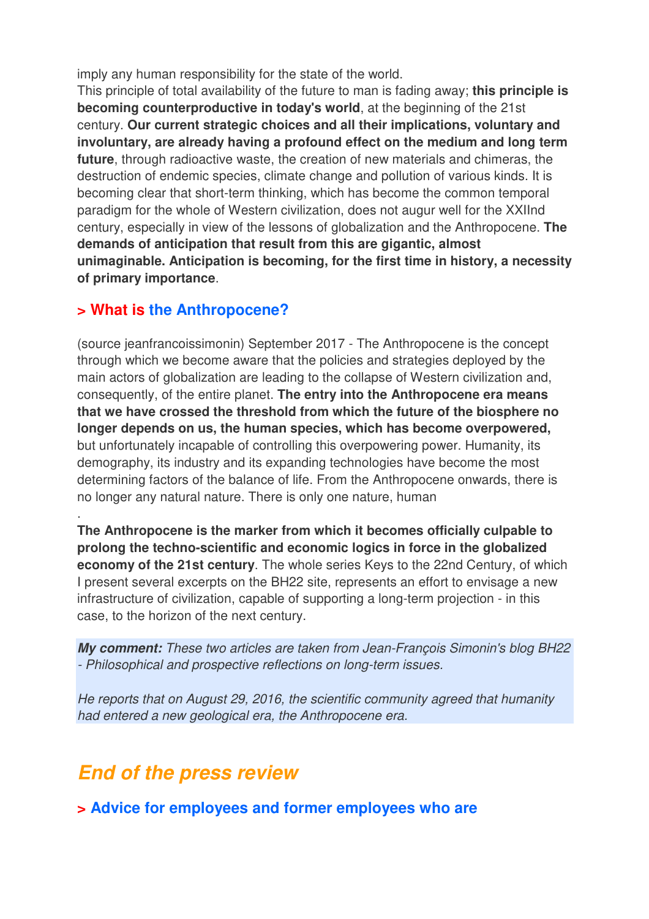imply any human responsibility for the state of the world.

This principle of total availability of the future to man is fading away; **this principle is becoming counterproductive in today's world**, at the beginning of the 21st century. **Our current strategic choices and all their implications, voluntary and involuntary, are already having a profound effect on the medium and long term future**, through radioactive waste, the creation of new materials and chimeras, the destruction of endemic species, climate change and pollution of various kinds. It is becoming clear that short-term thinking, which has become the common temporal paradigm for the whole of Western civilization, does not augur well for the XXIInd century, especially in view of the lessons of globalization and the Anthropocene. **The demands of anticipation that result from this are gigantic, almost unimaginable. Anticipation is becoming, for the first time in history, a necessity of primary importance**.

### **> What is the Anthropocene?**

.

(source jeanfrancoissimonin) September 2017 - The Anthropocene is the concept through which we become aware that the policies and strategies deployed by the main actors of globalization are leading to the collapse of Western civilization and, consequently, of the entire planet. **The entry into the Anthropocene era means that we have crossed the threshold from which the future of the biosphere no longer depends on us, the human species, which has become overpowered,**  but unfortunately incapable of controlling this overpowering power. Humanity, its demography, its industry and its expanding technologies have become the most determining factors of the balance of life. From the Anthropocene onwards, there is no longer any natural nature. There is only one nature, human

**The Anthropocene is the marker from which it becomes officially culpable to prolong the techno-scientific and economic logics in force in the globalized economy of the 21st century**. The whole series Keys to the 22nd Century, of which I present several excerpts on the BH22 site, represents an effort to envisage a new infrastructure of civilization, capable of supporting a long-term projection - in this case, to the horizon of the next century.

**My comment:** These two articles are taken from Jean-François Simonin's blog BH22 - Philosophical and prospective reflections on long-term issues.

He reports that on August 29, 2016, the scientific community agreed that humanity had entered a new geological era, the Anthropocene era.

## **End of the press review**

**> Advice for employees and former employees who are**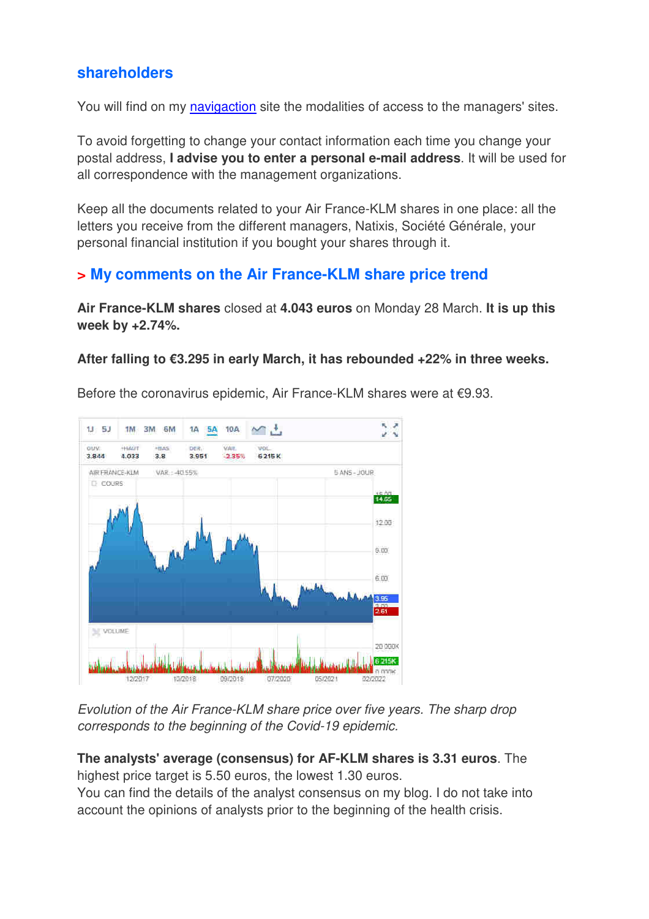### **shareholders**

You will find on my navigaction site the modalities of access to the managers' sites.

To avoid forgetting to change your contact information each time you change your postal address, **I advise you to enter a personal e-mail address**. It will be used for all correspondence with the management organizations.

Keep all the documents related to your Air France-KLM shares in one place: all the letters you receive from the different managers, Natixis, Société Générale, your personal financial institution if you bought your shares through it.

### **> My comments on the Air France-KLM share price trend**

**Air France-KLM shares** closed at **4.043 euros** on Monday 28 March. **It is up this week by +2.74%.** 

#### **After falling to €3.295 in early March, it has rebounded +22% in three weeks.**



Before the coronavirus epidemic, Air France-KLM shares were at €9.93.

Evolution of the Air France-KLM share price over five years. The sharp drop corresponds to the beginning of the Covid-19 epidemic.

**The analysts' average (consensus) for AF-KLM shares is 3.31 euros**. The highest price target is 5.50 euros, the lowest 1.30 euros.

You can find the details of the analyst consensus on my blog. I do not take into account the opinions of analysts prior to the beginning of the health crisis.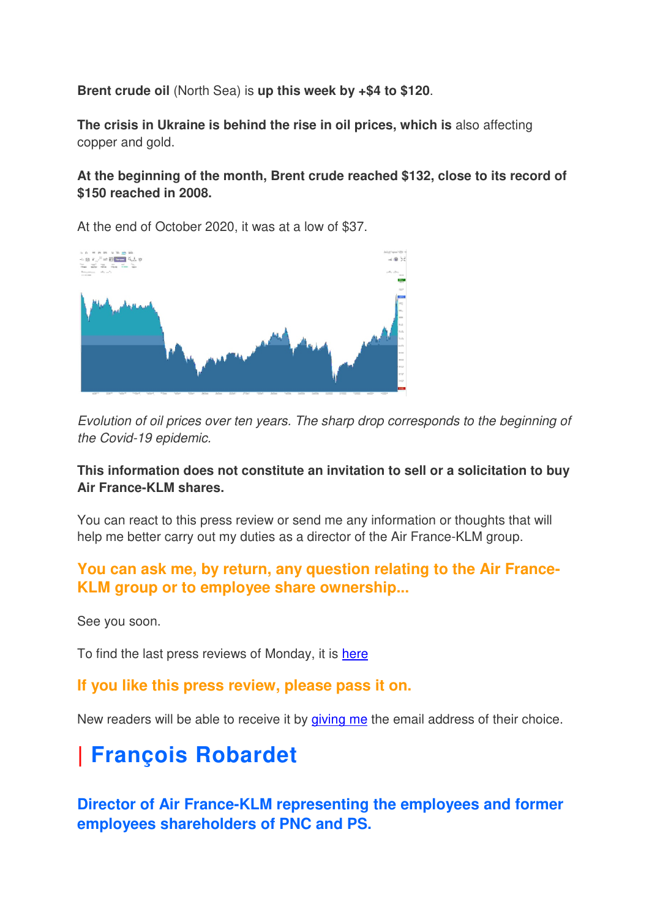**Brent crude oil** (North Sea) is **up this week by +\$4 to \$120**.

**The crisis in Ukraine is behind the rise in oil prices, which is** also affecting copper and gold.

### **At the beginning of the month, Brent crude reached \$132, close to its record of \$150 reached in 2008.**

At the end of October 2020, it was at a low of \$37.



Evolution of oil prices over ten years. The sharp drop corresponds to the beginning of the Covid-19 epidemic.

### **This information does not constitute an invitation to sell or a solicitation to buy Air France-KLM shares.**

You can react to this press review or send me any information or thoughts that will help me better carry out my duties as a director of the Air France-KLM group.

### **You can ask me, by return, any question relating to the Air France-KLM group or to employee share ownership...**

See you soon.

To find the last press reviews of Monday, it is here

### **If you like this press review, please pass it on.**

New readers will be able to receive it by giving me the email address of their choice.

# **| François Robardet**

**Director of Air France-KLM representing the employees and former employees shareholders of PNC and PS.**